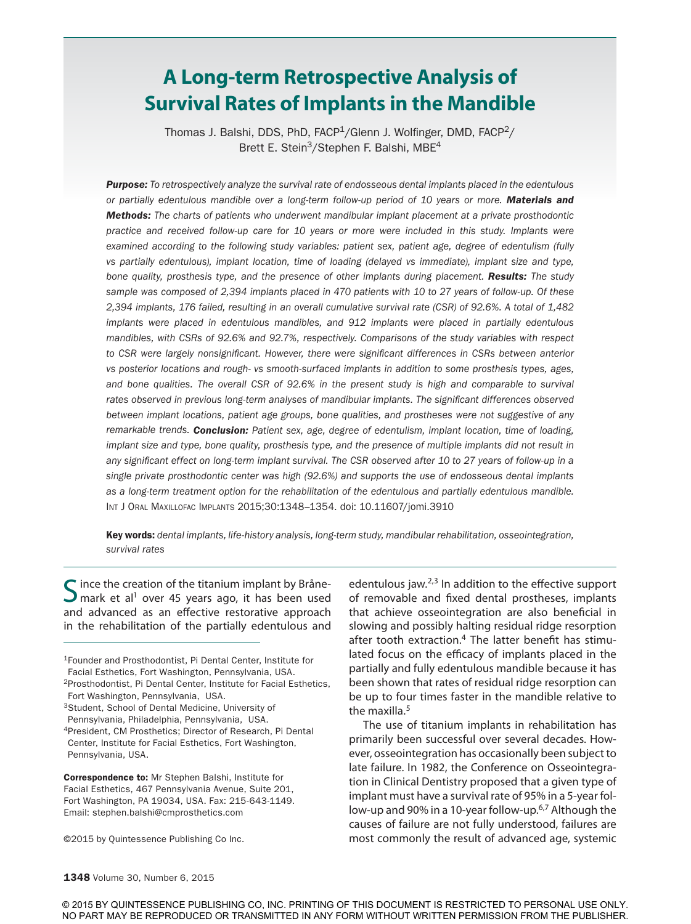# **A Long-term Retrospective Analysis of Survival Rates of Implants in the Mandible**

Thomas J. Balshi, DDS, PhD, FACP<sup>1</sup>/Glenn J. Wolfinger, DMD, FACP<sup>2</sup>/ Brett E. Stein<sup>3</sup>/Stephen F. Balshi, MBE<sup>4</sup>

*Purpose: To retrospectively analyze the survival rate of endosseous dental implants placed in the edentulous or partially edentulous mandible over a long-term follow-up period of 10 years or more. Materials and Methods: The charts of patients who underwent mandibular implant placement at a private prosthodontic practice and received follow-up care for 10 years or more were included in this study. Implants were examined according to the following study variables: patient sex, patient age, degree of edentulism (fully vs partially edentulous), implant location, time of loading (delayed vs immediate), implant size and type, bone quality, prosthesis type, and the presence of other implants during placement. Results: The study sample was composed of 2,394 implants placed in 470 patients with 10 to 27 years of follow-up. Of these 2,394 implants, 176 failed, resulting in an overall cumulative survival rate (CSR) of 92.6%. A total of 1,482 implants were placed in edentulous mandibles, and 912 implants were placed in partially edentulous mandibles, with CSRs of 92.6% and 92.7%, respectively. Comparisons of the study variables with respect to CSR were largely nonsignificant. However, there were significant differences in CSRs between anterior vs posterior locations and rough- vs smooth-surfaced implants in addition to some prosthesis types, ages,*  and bone qualities. The overall CSR of 92.6% in the present study is high and comparable to survival *rates observed in previous long-term analyses of mandibular implants. The significant differences observed between implant locations, patient age groups, bone qualities, and prostheses were not suggestive of any remarkable trends. Conclusion: Patient sex, age, degree of edentulism, implant location, time of loading, implant size and type, bone quality, prosthesis type, and the presence of multiple implants did not result in any significant effect on long-term implant survival. The CSR observed after 10 to 27 years of follow-up in a single private prosthodontic center was high (92.6%) and supports the use of endosseous dental implants as a long-term treatment option for the rehabilitation of the edentulous and partially edentulous mandible.*  Int J Oral Maxillofac Implants 2015;30:1348–1354. doi: 10.11607/jomi.3910

Key words: *dental implants, life-history analysis, long-term study, mandibular rehabilitation, osseointegration, survival rates*

 $\bigcap$  ince the creation of the titanium implant by Bråne- $\Box$  mark et al<sup>1</sup> over 45 years ago, it has been used and advanced as an effective restorative approach in the rehabilitation of the partially edentulous and

Fort Washington, Pennsylvania, USA.

Correspondence to: Mr Stephen Balshi, Institute for Facial Esthetics, 467 Pennsylvania Avenue, Suite 201, Fort Washington, PA 19034, USA. Fax: 215-643-1149. Email: stephen.balshi@cmprosthetics.com

©2015 by Quintessence Publishing Co Inc.

edentulous jaw. $2,3$  In addition to the effective support of removable and fixed dental prostheses, implants that achieve osseointegration are also beneficial in slowing and possibly halting residual ridge resorption after tooth extraction.<sup>4</sup> The latter benefit has stimulated focus on the efficacy of implants placed in the partially and fully edentulous mandible because it has been shown that rates of residual ridge resorption can be up to four times faster in the mandible relative to the maxilla. $5$ 

The use of titanium implants in rehabilitation has primarily been successful over several decades. However, osseointegration has occasionally been subject to late failure. In 1982, the Conference on Osseointegration in Clinical Dentistry proposed that a given type of implant must have a survival rate of 95% in a 5-year follow-up and 90% in a 10-year follow-up.<sup>6,7</sup> Although the causes of failure are not fully understood, failures are most commonly the result of advanced age, systemic

© 2015 BY QUINTESSENCE PUBLISHING CO, INC. PRINTING OF THIS DOCUMENT IS RESTRICTED TO PERSONAL USE ONLY. NO PART MAY BE REPRODUCED OR TRANSMITTED IN ANY FORM WITHOUT WRITTEN PERMISSION FROM THE PUBLISHER.

<sup>1</sup>Founder and Prosthodontist, Pi Dental Center, Institute for Facial Esthetics, Fort Washington, Pennsylvania, USA. 2Prosthodontist, Pi Dental Center, Institute for Facial Esthetics,

<sup>&</sup>lt;sup>3</sup>Student, School of Dental Medicine, University of

Pennsylvania, Philadelphia, Pennsylvania, USA.

<sup>4</sup>President, CM Prosthetics; Director of Research, Pi Dental Center, Institute for Facial Esthetics, Fort Washington, Pennsylvania, USA.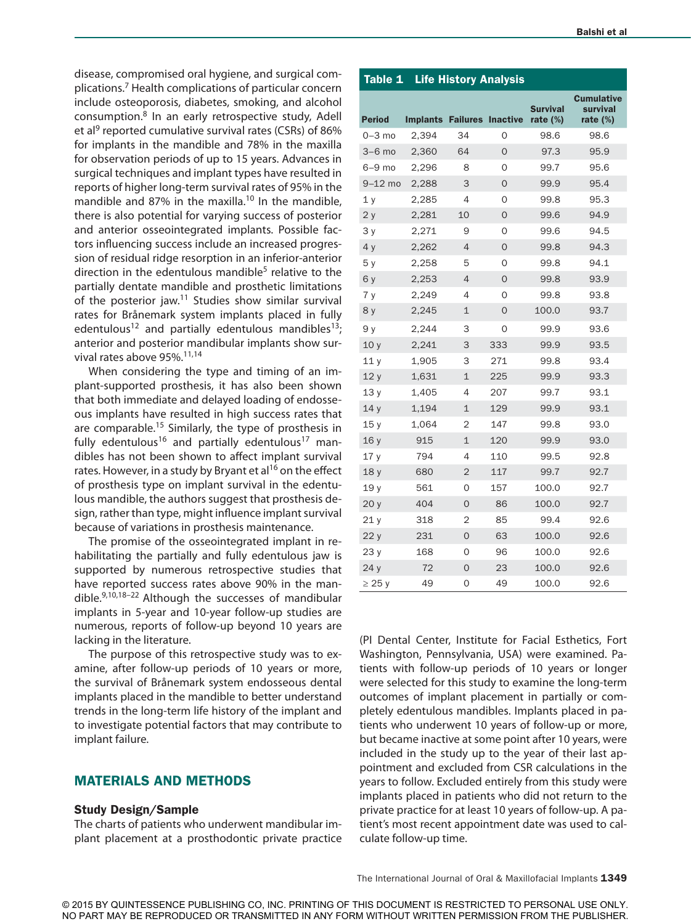disease, compromised oral hygiene, and surgical complications.7 Health complications of particular concern include osteoporosis, diabetes, smoking, and alcohol consumption.8 In an early retrospective study, Adell et al<sup>9</sup> reported cumulative survival rates (CSRs) of 86% for implants in the mandible and 78% in the maxilla for observation periods of up to 15 years. Advances in surgical techniques and implant types have resulted in reports of higher long-term survival rates of 95% in the mandible and 87% in the maxilla.<sup>10</sup> In the mandible, there is also potential for varying success of posterior and anterior osseointegrated implants. Possible factors influencing success include an increased progression of residual ridge resorption in an inferior-anterior direction in the edentulous mandible<sup>5</sup> relative to the partially dentate mandible and prosthetic limitations of the posterior jaw. $11$  Studies show similar survival rates for Brånemark system implants placed in fully edentulous<sup>12</sup> and partially edentulous mandibles<sup>13</sup>; anterior and posterior mandibular implants show survival rates above 95%.11,14

When considering the type and timing of an implant-supported prosthesis, it has also been shown that both immediate and delayed loading of endosseous implants have resulted in high success rates that are comparable.15 Similarly, the type of prosthesis in fully edentulous<sup>16</sup> and partially edentulous<sup>17</sup> mandibles has not been shown to affect implant survival rates. However, in a study by Bryant et al<sup>16</sup> on the effect of prosthesis type on implant survival in the edentulous mandible, the authors suggest that prosthesis design, rather than type, might influence implant survival because of variations in prosthesis maintenance.

The promise of the osseointegrated implant in rehabilitating the partially and fully edentulous jaw is supported by numerous retrospective studies that have reported success rates above 90% in the mandible.9,10,18–22 Although the successes of mandibular implants in 5-year and 10-year follow-up studies are numerous, reports of follow-up beyond 10 years are lacking in the literature.

The purpose of this retrospective study was to examine, after follow-up periods of 10 years or more, the survival of Brånemark system endosseous dental implants placed in the mandible to better understand trends in the long-term life history of the implant and to investigate potential factors that may contribute to implant failure.

## MATERIALS AND METHODS

#### Study Design/Sample

The charts of patients who underwent mandibular implant placement at a prosthodontic private practice

# Table 1 Life History Analysis

|                 |                 |                |                          | <b>Survival</b> | <b>Cumulative</b><br><b>survival</b> |
|-----------------|-----------------|----------------|--------------------------|-----------------|--------------------------------------|
| <b>Period</b>   | <b>Implants</b> |                | <b>Failures Inactive</b> | rate $(\%)$     | rate $(\%)$                          |
| $0-3$ mo        | 2,394           | 34             | 0                        | 98.6            | 98.6                                 |
| $3-6$ mo        | 2,360           | 64             | $\mathbf 0$              | 97.3            | 95.9                                 |
| $6-9$ mo        | 2,296           | 8              | 0                        | 99.7            | 95.6                                 |
| $9-12$ mo       | 2,288           | 3              | $\overline{0}$           | 99.9            | 95.4                                 |
| 1 y             | 2,285           | 4              | 0                        | 99.8            | 95.3                                 |
| 2y              | 2,281           | 10             | $\mathbf 0$              | 99.6            | 94.9                                 |
| 3y              | 2,271           | 9              | 0                        | 99.6            | 94.5                                 |
| 4y              | 2,262           | $\overline{4}$ | $\overline{0}$           | 99.8            | 94.3                                 |
| 5у              | 2,258           | 5              | 0                        | 99.8            | 94.1                                 |
| 6y              | 2,253           | $\overline{4}$ | $\overline{O}$           | 99.8            | 93.9                                 |
| 7y              | 2,249           | 4              | 0                        | 99.8            | 93.8                                 |
| 8 y             | 2,245           | 1              | $\mathbf 0$              | 100.0           | 93.7                                 |
| 9ν              | 2,244           | 3              | 0                        | 99.9            | 93.6                                 |
| 10 y            | 2,241           | 3              | 333                      | 99.9            | 93.5                                 |
| 11y             | 1,905           | 3              | 271                      | 99.8            | 93.4                                 |
| 12y             | 1,631           | 1              | 225                      | 99.9            | 93.3                                 |
| 13y             | 1,405           | 4              | 207                      | 99.7            | 93.1                                 |
| 14y             | 1,194           | $\mathbf{1}$   | 129                      | 99.9            | 93.1                                 |
| 15y             | 1,064           | 2              | 147                      | 99.8            | 93.0                                 |
| 16y             | 915             | $\overline{1}$ | 120                      | 99.9            | 93.0                                 |
| 17 <sub>v</sub> | 794             | 4              | 110                      | 99.5            | 92.8                                 |
| 18 y            | 680             | $\overline{2}$ | 117                      | 99.7            | 92.7                                 |
| 19 <sub>y</sub> | 561             | 0              | 157                      | 100.0           | 92.7                                 |
| 20y             | 404             | $\overline{O}$ | 86                       | 100.0           | 92.7                                 |
| 21y             | 318             | 2              | 85                       | 99.4            | 92.6                                 |
| 22y             | 231             | 0              | 63                       | 100.0           | 92.6                                 |
| 23y             | 168             | 0              | 96                       | 100.0           | 92.6                                 |
| 24 y            | 72              | 0              | 23                       | 100.0           | 92.6                                 |
| $\geq$ 25 y     | 49              | 0              | 49                       | 100.0           | 92.6                                 |

(PI Dental Center, Institute for Facial Esthetics, Fort Washington, Pennsylvania, USA) were examined. Patients with follow-up periods of 10 years or longer were selected for this study to examine the long-term outcomes of implant placement in partially or completely edentulous mandibles. Implants placed in patients who underwent 10 years of follow-up or more, but became inactive at some point after 10 years, were included in the study up to the year of their last appointment and excluded from CSR calculations in the years to follow. Excluded entirely from this study were implants placed in patients who did not return to the private practice for at least 10 years of follow-up. A patient's most recent appointment date was used to calculate follow-up time.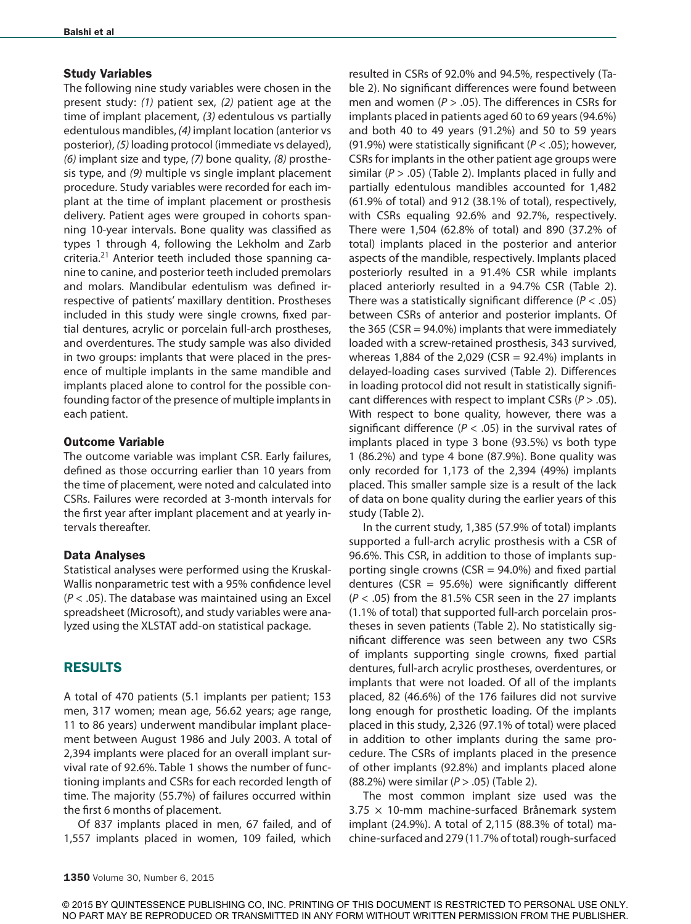#### Study Variables

The following nine study variables were chosen in the present study: *(1)* patient sex, *(2)* patient age at the time of implant placement, *(3)* edentulous vs partially edentulous mandibles, *(4)* implant location (anterior vs posterior), *(5)* loading protocol (immediate vs delayed), *(6)* implant size and type, *(7)* bone quality, *(8)* prosthesis type, and *(9)* multiple vs single implant placement procedure. Study variables were recorded for each implant at the time of implant placement or prosthesis delivery. Patient ages were grouped in cohorts spanning 10-year intervals. Bone quality was classified as types 1 through 4, following the Lekholm and Zarb criteria.21 Anterior teeth included those spanning canine to canine, and posterior teeth included premolars and molars. Mandibular edentulism was defined irrespective of patients' maxillary dentition. Prostheses included in this study were single crowns, fixed partial dentures, acrylic or porcelain full-arch prostheses, and overdentures. The study sample was also divided in two groups: implants that were placed in the presence of multiple implants in the same mandible and implants placed alone to control for the possible confounding factor of the presence of multiple implants in each patient.

# Outcome Variable

The outcome variable was implant CSR. Early failures, defined as those occurring earlier than 10 years from the time of placement, were noted and calculated into CSRs. Failures were recorded at 3-month intervals for the first year after implant placement and at yearly intervals thereafter.

# Data Analyses

Statistical analyses were performed using the Kruskal-Wallis nonparametric test with a 95% confidence level (*P* < .05). The database was maintained using an Excel spreadsheet (Microsoft), and study variables were analyzed using the XLSTAT add-on statistical package.

# RESULTS

A total of 470 patients (5.1 implants per patient; 153 men, 317 women; mean age, 56.62 years; age range, 11 to 86 years) underwent mandibular implant placement between August 1986 and July 2003. A total of 2,394 implants were placed for an overall implant survival rate of 92.6%. Table 1 shows the number of functioning implants and CSRs for each recorded length of time. The majority (55.7%) of failures occurred within the first 6 months of placement.

Of 837 implants placed in men, 67 failed, and of 1,557 implants placed in women, 109 failed, which

resulted in CSRs of 92.0% and 94.5%, respectively (Table 2). No significant differences were found between men and women (*P* > .05). The differences in CSRs for implants placed in patients aged 60 to 69 years (94.6%) and both 40 to 49 years (91.2%) and 50 to 59 years (91.9%) were statistically significant (*P* < .05); however, CSRs for implants in the other patient age groups were similar (*P* > .05) (Table 2). Implants placed in fully and partially edentulous mandibles accounted for 1,482 (61.9% of total) and 912 (38.1% of total), respectively, with CSRs equaling 92.6% and 92.7%, respectively. There were 1,504 (62.8% of total) and 890 (37.2% of total) implants placed in the posterior and anterior aspects of the mandible, respectively. Implants placed posteriorly resulted in a 91.4% CSR while implants placed anteriorly resulted in a 94.7% CSR (Table 2). There was a statistically significant difference (*P* < .05) between CSRs of anterior and posterior implants. Of the 365 (CSR  $=$  94.0%) implants that were immediately loaded with a screw-retained prosthesis, 343 survived, whereas 1,884 of the 2,029 (CSR = 92.4%) implants in delayed-loading cases survived (Table 2). Differences in loading protocol did not result in statistically significant differences with respect to implant CSRs (*P* > .05). With respect to bone quality, however, there was a significant difference ( $P < .05$ ) in the survival rates of implants placed in type 3 bone (93.5%) vs both type 1 (86.2%) and type 4 bone (87.9%). Bone quality was only recorded for 1,173 of the 2,394 (49%) implants placed. This smaller sample size is a result of the lack of data on bone quality during the earlier years of this study (Table 2).

In the current study, 1,385 (57.9% of total) implants supported a full-arch acrylic prosthesis with a CSR of 96.6%. This CSR, in addition to those of implants supporting single crowns ( $CSR = 94.0\%$ ) and fixed partial dentures (CSR = 95.6%) were significantly different (*P* < .05) from the 81.5% CSR seen in the 27 implants (1.1% of total) that supported full-arch porcelain prostheses in seven patients (Table 2). No statistically significant difference was seen between any two CSRs of implants supporting single crowns, fixed partial dentures, full-arch acrylic prostheses, overdentures, or implants that were not loaded. Of all of the implants placed, 82 (46.6%) of the 176 failures did not survive long enough for prosthetic loading. Of the implants placed in this study, 2,326 (97.1% of total) were placed in addition to other implants during the same procedure. The CSRs of implants placed in the presence of other implants (92.8%) and implants placed alone (88.2%) were similar (*P* > .05) (Table 2).

The most common implant size used was the  $3.75 \times 10$ -mm machine-surfaced Brånemark system implant (24.9%). A total of 2,115 (88.3% of total) machine-surfaced and 279 (11.7% of total) rough-surfaced

© 2015 BY QUINTESSENCE PUBLISHING CO, INC. PRINTING OF THIS DOCUMENT IS RESTRICTED TO PERSONAL USE ONLY. NO PART MAY BE REPRODUCED OR TRANSMITTED IN ANY FORM WITHOUT WRITTEN PERMISSION FROM THE PUBLISHER.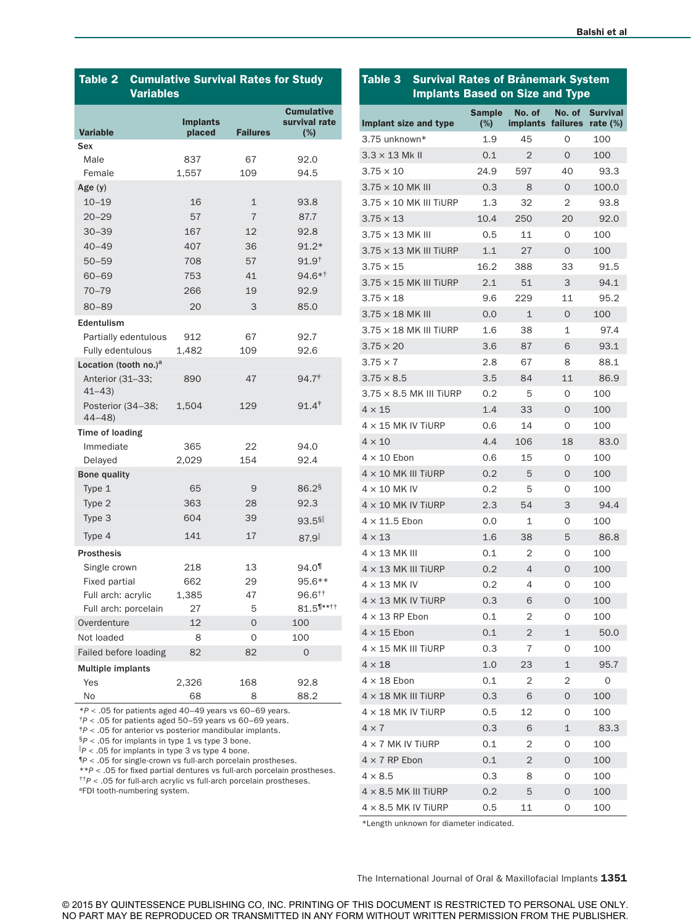| Table <sub>2</sub><br><b>Variables</b>                         | <b>Cumulative Survival Rates for Study</b> |                 |                                    | Table 3<br><b>Surv</b><br><b>Impla</b>                 |
|----------------------------------------------------------------|--------------------------------------------|-----------------|------------------------------------|--------------------------------------------------------|
|                                                                | <b>Implants</b>                            |                 | <b>Cumulative</b><br>survival rate | Implant size and t                                     |
| <b>Variable</b><br>Sex                                         | placed                                     | <b>Failures</b> | (%)                                | 3.75 unknown*                                          |
| Male                                                           | 837                                        | 67              | 92.0                               | $3.3 \times 13$ Mk II                                  |
| Female                                                         | 1,557                                      | 109             | 94.5                               | $3.75 \times 10$                                       |
| Age (y)                                                        |                                            |                 |                                    | 3.75 × 10 MK III                                       |
| $10 - 19$                                                      | 16                                         | $\mathbf 1$     | 93.8                               | 3.75 × 10 MK III T                                     |
| $20 - 29$                                                      | 57                                         | $\overline{7}$  | 87.7                               | $3.75 \times 13$                                       |
| $30 - 39$                                                      | 167                                        | 12              | 92.8                               | $3.75 \times 13$ MK III                                |
| $40 - 49$                                                      | 407                                        | 36              | $91.2*$                            | $3.75 \times 13$ MK III T                              |
| $50 - 59$                                                      | 708                                        | 57              | $91.9^{+}$                         | $3.75 \times 15$                                       |
| $60 - 69$                                                      | 753                                        | 41              | $94.6**^{\dagger}$                 | $3.75 \times 15$ MK III T                              |
| $70 - 79$                                                      | 266                                        | 19              | 92.9                               | $3.75 \times 18$                                       |
| $80 - 89$                                                      | 20                                         | 3               | 85.0                               | $3.75 \times 18$ MK III                                |
| Edentulism                                                     |                                            |                 |                                    | $3.75 \times 18$ MK III T                              |
| Partially edentulous                                           | 912                                        | 67              | 92.7                               |                                                        |
| Fully edentulous                                               | 1,482                                      | 109             | 92.6                               | $3.75 \times 20$                                       |
| Location (tooth no.) <sup>a</sup>                              |                                            |                 |                                    | $3.75 \times 7$                                        |
| Anterior (31-33;                                               | 890                                        | 47              | $94.7*$                            | $3.75 \times 8.5$                                      |
| $41 - 43$<br>Posterior (34-38;                                 | 1,504                                      | 129             | $91.4^*$                           | $3.75 \times 8.5$ MK III                               |
| $44 - 48$                                                      |                                            |                 |                                    | $4 \times 15$                                          |
| Time of loading                                                |                                            |                 |                                    | $4 \times 15$ MK IV TiUF                               |
| Immediate                                                      | 365                                        | 22              | 94.0                               | $4 \times 10$                                          |
| Delayed                                                        | 2,029                                      | 154             | 92.4                               | $4 \times 10$ Ebon                                     |
| <b>Bone quality</b>                                            |                                            |                 |                                    | $4 \times 10$ MK III TIUR                              |
| Type 1                                                         | 65                                         | 9               | 86.2 <sup>§</sup>                  | $4 \times 10$ MK IV                                    |
| Type 2                                                         | 363                                        | 28              | 92.3                               | $4 \times 10$ MK IV TiUF                               |
| Type 3                                                         | 604                                        | 39              | $93.5$ <sup>\$  </sup>             | $4 \times 11.5$ Ebon                                   |
| Type 4                                                         | 141                                        | 17              | 87.9                               | $4 \times 13$                                          |
| <b>Prosthesis</b>                                              |                                            |                 |                                    | $4 \times 13$ MK III                                   |
| Single crown                                                   | 218                                        | 13              | 94.0                               | $4 \times 13$ MK III TIUF                              |
| Fixed partial                                                  | 662                                        | 29              | 95.6**                             | $4 \times 13$ MK IV                                    |
| Full arch: acrylic                                             | 1,385                                      | 47              | 96.6††                             | $4 \times 13$ MK IV TiUF                               |
| Full arch: porcelain                                           | 27                                         | 5               | $81.5$ <sup>1**††</sup>            | $4 \times 13$ RP Ebon                                  |
| Overdenture                                                    | 12                                         | 0               | 100                                | $4 \times 15$ Ebon                                     |
| Not loaded                                                     | 8                                          | 0               | 100                                | $4 \times 15$ MK III TiUF                              |
| Failed before loading                                          | 82                                         | 82              | 0                                  | $4 \times 18$                                          |
| <b>Multiple implants</b>                                       |                                            |                 |                                    |                                                        |
| Yes                                                            | 2,326                                      | 168             | 92.8                               | $4 \times 18$ Ebon                                     |
| No<br>$*P < .05$ for patients aged 40-49 years vs 60-69 years. | 68                                         | 8               | 88.2                               | $4 \times 18$ MK III TiUF<br>$4 \times 18$ MK IV TillE |

# ival Rates of Brånemark System ants Based on Size and Type

| Implant size and type          | <b>Sample</b><br>(%) | No. of<br>implants | No. of<br>failures | <b>Survival</b><br>rate $(\%)$ |
|--------------------------------|----------------------|--------------------|--------------------|--------------------------------|
| 3.75 unknown*                  | 1.9                  | 45                 | 0                  | 100                            |
| $3.3 \times 13$ Mk II          | 0.1                  | $\overline{2}$     | $\mathbf 0$        | 100                            |
| $3.75 \times 10$               | 24.9                 | 597                | 40                 | 93.3                           |
| 3.75 × 10 MK III               | 0.3                  | 8                  | $\mathbf{O}$       | 100.0                          |
| $3.75 \times 10$ MK III TiURP  | 1.3                  | 32                 | 2                  | 93.8                           |
| $3.75 \times 13$               | 10.4                 | 250                | 20                 | 92.0                           |
| $3.75 \times 13$ MK III        | 0.5                  | 11                 | 0                  | 100                            |
| $3.75 \times 13$ MK III TIURP  | 1.1                  | 27                 | $\mathbf 0$        | 100                            |
| $3.75\times15$                 | 16.2                 | 388                | 33                 | 91.5                           |
| $3.75 \times 15$ MK III TiURP  | 2.1                  | 51                 | 3                  | 94.1                           |
| $3.75 \times 18$               | 9.6                  | 229                | 11                 | 95.2                           |
| 3.75 × 18 MK III               | 0.0                  | 1                  | $\mathbf 0$        | 100                            |
| $3.75 \times 18$ MK III TiURP  | 1.6                  | 38                 | 1                  | 97.4                           |
| $3.75 \times 20$               | 3.6                  | 87                 | 6                  | 93.1                           |
| $3.75 \times 7$                | 2.8                  | 67                 | 8                  | 88.1                           |
| $3.75 \times 8.5$              | 3.5                  | 84                 | 11                 | 86.9                           |
| $3.75 \times 8.5$ MK III TiURP | 0.2                  | 5                  | 0                  | 100                            |
| $4 \times 15$                  | 1.4                  | 33                 | 0                  | 100                            |
| $4\times15$ MK IV TiURP        | 0.6                  | 14                 | 0                  | 100                            |
| $4 \times 10$                  | 4.4                  | 106                | 18                 | 83.0                           |
| $4 \times 10$ Ebon             | 0.6                  | 15                 | 0                  | 100                            |
| $4\times10$ MK III TiURP       | 0.2                  | 5                  | 0                  | 100                            |
| 4 × 10 MK IV                   | 0.2                  | 5                  | 0                  | 100                            |
| $4 \times 10$ MK IV TiURP      | 2.3                  | 54                 | 3                  | 94.4                           |
| $4\times 11.5$ Ebon            | 0.0                  | 1                  | 0                  | 100                            |
| $4 \times 13$                  | 1.6                  | 38                 | 5                  | 86.8                           |
| 4 × 13 MK III                  | 0.1                  | 2                  | 0                  | 100                            |
| $4 \times 13$ MK III TIURP     | 0.2                  | 4                  | 0                  | 100                            |
| 4 × 13 MK IV                   | 0.2                  | 4                  | 0                  | 100                            |
| $4\times13$ MK IV TiURP        | 0.3                  | 6                  | 0                  | 100                            |
| $4 \times 13$ RP Ebon          | 0.1                  | 2                  | 0                  | 100                            |
| $4 \times 15$ Ebon             | 0.1                  | $\overline{2}$     | $\mathbf{1}$       | 50.0                           |
| $4\times15$ MK III TiURP       | 0.3                  | 7                  | 0                  | 100                            |
| $4 \times 18$                  | 1.0                  | 23                 | 1                  | 95.7                           |
| $4\times18$ Ebon               | 0.1                  | 2                  | 2                  | 0                              |
| $4 \times 18$ MK III TiURP     | 0.3                  | 6                  | 0                  | 100                            |
| $4 \times 18$ MK IV TiURP      | 0.5                  | 12                 | 0                  | 100                            |
| $4 \times 7$                   | 0.3                  | 6                  | 1                  | 83.3                           |
| $4 \times 7$ MK IV TiURP       | 0.1                  | 2                  | 0                  | 100                            |
| $4 \times 7$ RP Ebon           | 0.1                  | 2                  | 0                  | 100                            |
| $4 \times 8.5$                 | 0.3                  | 8                  | 0                  | 100                            |
| $4 \times 8.5$ MK III TiURP    | 0.2                  | 5                  | 0                  | 100                            |
| $4 \times 8.5$ MK IV TiURP     | 0.5                  | 11                 | 0                  | 100                            |

†*P* < .05 for patients aged 50–59 years vs 60–69 years.

‡*P* < .05 for anterior vs posterior mandibular implants.

§ $P < .05$  for implants in type 1 vs type 3 bone.

∙ *P* < .05 for implants in type 3 vs type 4 bone.

¶*P* < .05 for single-crown vs full-arch porcelain prostheses.

\*\**P* < .05 for fixed partial dentures vs full-arch porcelain prostheses. ††*P* < .05 for full-arch acrylic vs full-arch porcelain prostheses.

aFDI tooth-numbering system.

\*Length unknown for diameter indicated.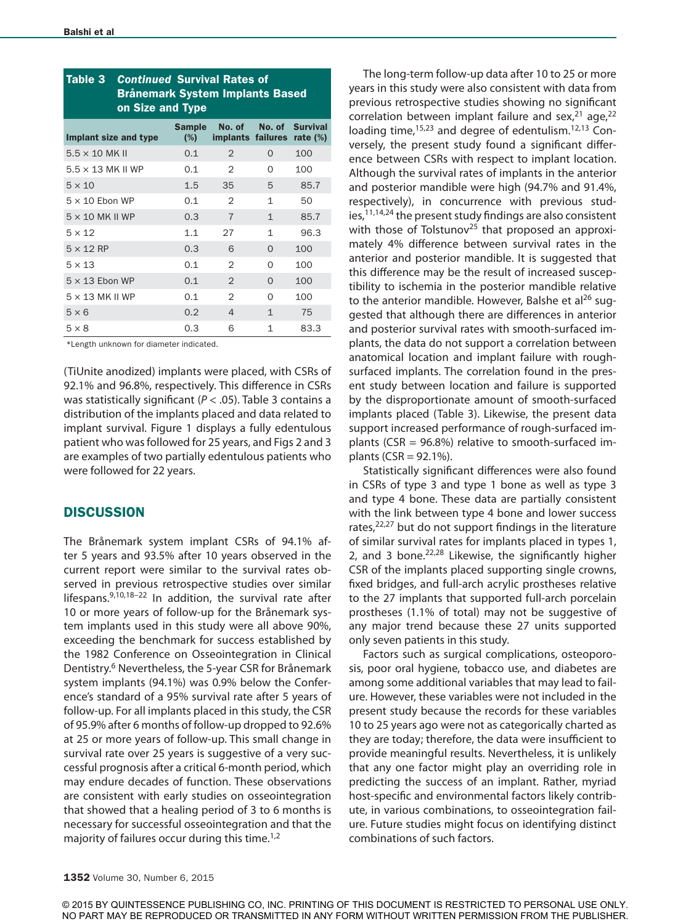| Table 3<br><b>Continued Survival Rates of</b><br>Brånemark System Implants Based<br>on Size and Type |                      |                             |              |                                |  |  |
|------------------------------------------------------------------------------------------------------|----------------------|-----------------------------|--------------|--------------------------------|--|--|
| Implant size and type                                                                                | <b>Sample</b><br>(%) | No. of<br>implants failures | No. of       | <b>Survival</b><br>rate $(\%)$ |  |  |
| $5.5 \times 10$ MK II                                                                                | 0.1                  | $\mathcal{P}$               | $\Omega$     | 100                            |  |  |
| $5.5 \times 13$ MK II WP                                                                             | 0.1                  | $\overline{2}$              | $\Omega$     | 100                            |  |  |
| $5 \times 10$                                                                                        | 1.5                  | 35                          | 5            | 85.7                           |  |  |
| $5 \times 10$ Ebon WP                                                                                | 0.1                  | $\overline{2}$              | 1            | 50                             |  |  |
| $5 \times 10$ MK II WP                                                                               | 0.3                  | $\overline{7}$              | $\mathbf{1}$ | 85.7                           |  |  |
| $5 \times 12$                                                                                        | 1.1                  | 27                          | 1            | 96.3                           |  |  |
| $5 \times 12$ RP                                                                                     | 0.3                  | 6                           | $\Omega$     | 100                            |  |  |
| $5 \times 13$                                                                                        | 0.1                  | $\mathcal{P}$               | $\Omega$     | 100                            |  |  |
| $5 \times 13$ Ebon WP                                                                                | 0.1                  | $\overline{2}$              | $\Omega$     | 100                            |  |  |
| $5 \times 13$ MK II WP                                                                               | 0.1                  | $\mathcal{P}$               | $\Omega$     | 100                            |  |  |
| $5 \times 6$                                                                                         | 0.2                  | 4                           | $\mathbf{1}$ | 75                             |  |  |
| $5 \times 8$                                                                                         | 0.3                  | 6                           | $\mathbf 1$  | 83.3                           |  |  |

\*Length unknown for diameter indicated.

(TiUnite anodized) implants were placed, with CSRs of 92.1% and 96.8%, respectively. This difference in CSRs was statistically significant (*P* < .05). Table 3 contains a distribution of the implants placed and data related to implant survival. Figure 1 displays a fully edentulous patient who was followed for 25 years, and Figs 2 and 3 are examples of two partially edentulous patients who were followed for 22 years.

#### **DISCUSSION**

The Brånemark system implant CSRs of 94.1% after 5 years and 93.5% after 10 years observed in the current report were similar to the survival rates observed in previous retrospective studies over similar lifespans. $9,10,18-22$  In addition, the survival rate after 10 or more years of follow-up for the Brånemark system implants used in this study were all above 90%, exceeding the benchmark for success established by the 1982 Conference on Osseointegration in Clinical Dentistry.6 Nevertheless, the 5-year CSR for Brånemark system implants (94.1%) was 0.9% below the Conference's standard of a 95% survival rate after 5 years of follow-up. For all implants placed in this study, the CSR of 95.9% after 6 months of follow-up dropped to 92.6% at 25 or more years of follow-up. This small change in survival rate over 25 years is suggestive of a very successful prognosis after a critical 6-month period, which may endure decades of function. These observations are consistent with early studies on osseointegration that showed that a healing period of 3 to 6 months is necessary for successful osseointegration and that the majority of failures occur during this time. $1/2$ 

The long-term follow-up data after 10 to 25 or more years in this study were also consistent with data from previous retrospective studies showing no significant correlation between implant failure and sex,<sup>21</sup> age,<sup>22</sup> loading time, $15,23$  and degree of edentulism. $12,13$  Conversely, the present study found a significant difference between CSRs with respect to implant location. Although the survival rates of implants in the anterior and posterior mandible were high (94.7% and 91.4%, respectively), in concurrence with previous studies,  $11,14,24$  the present study findings are also consistent with those of Tolstunov<sup>25</sup> that proposed an approximately 4% difference between survival rates in the anterior and posterior mandible. It is suggested that this difference may be the result of increased susceptibility to ischemia in the posterior mandible relative to the anterior mandible. However, Balshe et al<sup>26</sup> suggested that although there are differences in anterior and posterior survival rates with smooth-surfaced implants, the data do not support a correlation between anatomical location and implant failure with roughsurfaced implants. The correlation found in the present study between location and failure is supported by the disproportionate amount of smooth-surfaced implants placed (Table 3). Likewise, the present data support increased performance of rough-surfaced implants (CSR =  $96.8\%$ ) relative to smooth-surfaced implants (CSR = 92.1%).

Statistically significant differences were also found in CSRs of type 3 and type 1 bone as well as type 3 and type 4 bone. These data are partially consistent with the link between type 4 bone and lower success rates,<sup>22,27</sup> but do not support findings in the literature of similar survival rates for implants placed in types 1, 2, and 3 bone. $22,28$  Likewise, the significantly higher CSR of the implants placed supporting single crowns, fixed bridges, and full-arch acrylic prostheses relative to the 27 implants that supported full-arch porcelain prostheses (1.1% of total) may not be suggestive of any major trend because these 27 units supported only seven patients in this study.

Factors such as surgical complications, osteoporosis, poor oral hygiene, tobacco use, and diabetes are among some additional variables that may lead to failure. However, these variables were not included in the present study because the records for these variables 10 to 25 years ago were not as categorically charted as they are today; therefore, the data were insufficient to provide meaningful results. Nevertheless, it is unlikely that any one factor might play an overriding role in predicting the success of an implant. Rather, myriad host-specific and environmental factors likely contribute, in various combinations, to osseointegration failure. Future studies might focus on identifying distinct combinations of such factors.

© 2015 BY QUINTESSENCE PUBLISHING CO, INC. PRINTING OF THIS DOCUMENT IS RESTRICTED TO PERSONAL USE ONLY. NO PART MAY BE REPRODUCED OR TRANSMITTED IN ANY FORM WITHOUT WRITTEN PERMISSION FROM THE PUBLISHER.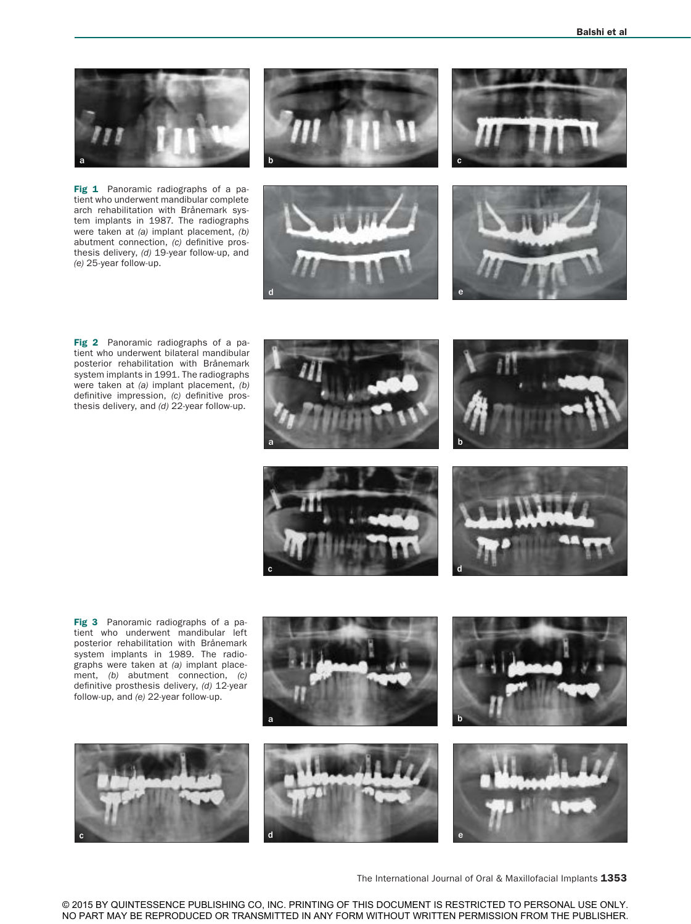

Fig 1 Panoramic radiographs of a patient who underwent mandibular complete arch rehabilitation with Brånemark system implants in 1987. The radiographs were taken at *(a)* implant placement, *(b)*  abutment connection, *(c)* definitive prosthesis delivery, *(d)* 19-year follow-up, and *(e)* 25-year follow-up.









Fig 2 Panoramic radiographs of a patient who underwent bilateral mandibular posterior rehabilitation with Brånemark system implants in 1991. The radiographs were taken at *(a)* implant placement, *(b)*  definitive impression, *(c)* definitive prosthesis delivery, and *(d)* 22-year follow-up.









Fig 3 Panoramic radiographs of a patient who underwent mandibular left posterior rehabilitation with Brånemark system implants in 1989. The radiographs were taken at *(a)* implant placement, *(b)* abutment connection, *(c)*  definitive prosthesis delivery, *(d)* 12-year follow-up, and *(e)* 22-year follow-up.



The International Journal of Oral & Maxillofacial Implants 1353

© 2015 BY QUINTESSENCE PUBLISHING CO, INC. PRINTING OF THIS DOCUMENT IS RESTRICTED TO PERSONAL USE ONLY. NO PART MAY BE REPRODUCED OR TRANSMITTED IN ANY FORM WITHOUT WRITTEN PERMISSION FROM THE PUBLISHER.

c defined a set of  $\mathbf d$  defined a set of  $\mathbf d$  , and  $\mathbf e$